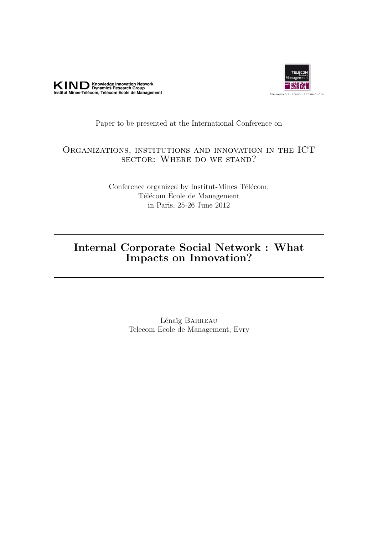



## Paper to be presented at the International Conference on

## Organizations, institutions and innovation in the ICT sector: Where do we stand?

Conference organized by Institut-Mines Télécom, Télécom École de Management in Paris, 25-26 June 2012

# Internal Corporate Social Network : What Impacts on Innovation?

Lénaïg BARREAU Telecom Ecole de Management, Evry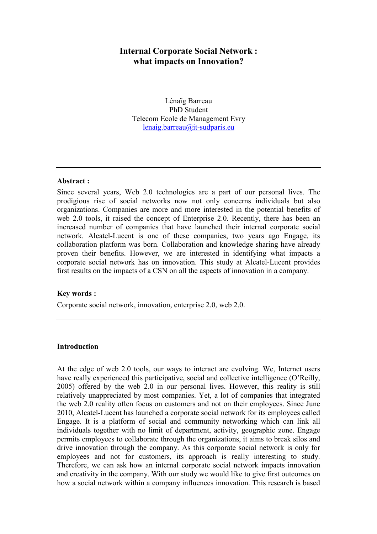# Internal Corporate Social Network : what impacts on Innovation?

Lénaïg Barreau PhD Student Telecom Ecole de Management Evry lenaig.barreau@it-sudparis.eu

#### Abstract :

Since several years, Web 2.0 technologies are a part of our personal lives. The prodigious rise of social networks now not only concerns individuals but also organizations. Companies are more and more interested in the potential benefits of web 2.0 tools, it raised the concept of Enterprise 2.0. Recently, there has been an increased number of companies that have launched their internal corporate social network. Alcatel-Lucent is one of these companies, two years ago Engage, its collaboration platform was born. Collaboration and knowledge sharing have already proven their benefits. However, we are interested in identifying what impacts a corporate social network has on innovation. This study at Alcatel-Lucent provides first results on the impacts of a CSN on all the aspects of innovation in a company.

#### Key words :

Corporate social network, innovation, enterprise 2.0, web 2.0.

### Introduction

At the edge of web 2.0 tools, our ways to interact are evolving. We, Internet users have really experienced this participative, social and collective intelligence (O'Reilly, 2005) offered by the web 2.0 in our personal lives. However, this reality is still relatively unappreciated by most companies. Yet, a lot of companies that integrated the web 2.0 reality often focus on customers and not on their employees. Since June 2010, Alcatel-Lucent has launched a corporate social network for its employees called Engage. It is a platform of social and community networking which can link all individuals together with no limit of department, activity, geographic zone. Engage permits employees to collaborate through the organizations, it aims to break silos and drive innovation through the company. As this corporate social network is only for employees and not for customers, its approach is really interesting to study. Therefore, we can ask how an internal corporate social network impacts innovation and creativity in the company. With our study we would like to give first outcomes on how a social network within a company influences innovation. This research is based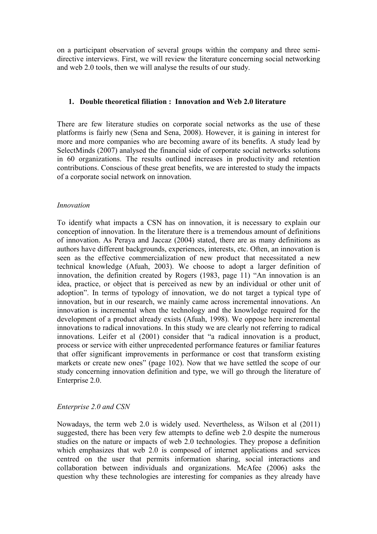on a participant observation of several groups within the company and three semidirective interviews. First, we will review the literature concerning social networking and web 2.0 tools, then we will analyse the results of our study.

## 1. Double theoretical filiation : Innovation and Web 2.0 literature

There are few literature studies on corporate social networks as the use of these platforms is fairly new (Sena and Sena, 2008). However, it is gaining in interest for more and more companies who are becoming aware of its benefits. A study lead by SelectMinds (2007) analysed the financial side of corporate social networks solutions in 60 organizations. The results outlined increases in productivity and retention contributions. Conscious of these great benefits, we are interested to study the impacts of a corporate social network on innovation.

### Innovation

To identify what impacts a CSN has on innovation, it is necessary to explain our conception of innovation. In the literature there is a tremendous amount of definitions of innovation. As Peraya and Jaccaz (2004) stated, there are as many definitions as authors have different backgrounds, experiences, interests, etc. Often, an innovation is seen as the effective commercialization of new product that necessitated a new technical knowledge (Afuah, 2003). We choose to adopt a larger definition of innovation, the definition created by Rogers (1983, page 11) "An innovation is an idea, practice, or object that is perceived as new by an individual or other unit of adoption". In terms of typology of innovation, we do not target a typical type of innovation, but in our research, we mainly came across incremental innovations. An innovation is incremental when the technology and the knowledge required for the development of a product already exists (Afuah, 1998). We oppose here incremental innovations to radical innovations. In this study we are clearly not referring to radical innovations. Leifer et al (2001) consider that "a radical innovation is a product, process or service with either unprecedented performance features or familiar features that offer significant improvements in performance or cost that transform existing markets or create new ones" (page 102). Now that we have settled the scope of our study concerning innovation definition and type, we will go through the literature of Enterprise 2.0.

#### Enterprise 2.0 and CSN

Nowadays, the term web 2.0 is widely used. Nevertheless, as Wilson et al (2011) suggested, there has been very few attempts to define web 2.0 despite the numerous studies on the nature or impacts of web 2.0 technologies. They propose a definition which emphasizes that web 2.0 is composed of internet applications and services centred on the user that permits information sharing, social interactions and collaboration between individuals and organizations. McAfee (2006) asks the question why these technologies are interesting for companies as they already have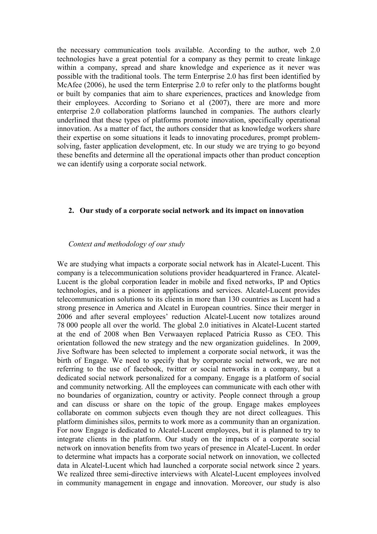the necessary communication tools available. According to the author, web 2.0 technologies have a great potential for a company as they permit to create linkage within a company, spread and share knowledge and experience as it never was possible with the traditional tools. The term Enterprise 2.0 has first been identified by McAfee (2006), he used the term Enterprise 2.0 to refer only to the platforms bought or built by companies that aim to share experiences, practices and knowledge from their employees. According to Soriano et al (2007), there are more and more enterprise 2.0 collaboration platforms launched in companies. The authors clearly underlined that these types of platforms promote innovation, specifically operational innovation. As a matter of fact, the authors consider that as knowledge workers share their expertise on some situations it leads to innovating procedures, prompt problemsolving, faster application development, etc. In our study we are trying to go beyond these benefits and determine all the operational impacts other than product conception we can identify using a corporate social network.

#### 2. Our study of a corporate social network and its impact on innovation

#### Context and methodology of our study

We are studying what impacts a corporate social network has in Alcatel-Lucent. This company is a telecommunication solutions provider headquartered in France. Alcatel-Lucent is the global corporation leader in mobile and fixed networks, IP and Optics technologies, and is a pioneer in applications and services. Alcatel-Lucent provides telecommunication solutions to its clients in more than 130 countries as Lucent had a strong presence in America and Alcatel in European countries. Since their merger in 2006 and after several employees' reduction Alcatel-Lucent now totalizes around 78 000 people all over the world. The global 2.0 initiatives in Alcatel-Lucent started at the end of 2008 when Ben Verwaayen replaced Patricia Russo as CEO. This orientation followed the new strategy and the new organization guidelines. In 2009, Jive Software has been selected to implement a corporate social network, it was the birth of Engage. We need to specify that by corporate social network, we are not referring to the use of facebook, twitter or social networks in a company, but a dedicated social network personalized for a company. Engage is a platform of social and community networking. All the employees can communicate with each other with no boundaries of organization, country or activity. People connect through a group and can discuss or share on the topic of the group. Engage makes employees collaborate on common subjects even though they are not direct colleagues. This platform diminishes silos, permits to work more as a community than an organization. For now Engage is dedicated to Alcatel-Lucent employees, but it is planned to try to integrate clients in the platform. Our study on the impacts of a corporate social network on innovation benefits from two years of presence in Alcatel-Lucent. In order to determine what impacts has a corporate social network on innovation, we collected data in Alcatel-Lucent which had launched a corporate social network since 2 years. We realized three semi-directive interviews with Alcatel-Lucent employees involved in community management in engage and innovation. Moreover, our study is also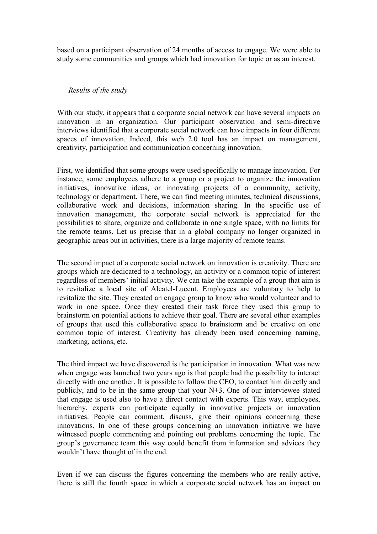based on a participant observation of 24 months of access to engage. We were able to study some communities and groups which had innovation for topic or as an interest.

### Results of the study

With our study, it appears that a corporate social network can have several impacts on innovation in an organization. Our participant observation and semi-directive interviews identified that a corporate social network can have impacts in four different spaces of innovation. Indeed, this web 2.0 tool has an impact on management, creativity, participation and communication concerning innovation.

First, we identified that some groups were used specifically to manage innovation. For instance, some employees adhere to a group or a project to organize the innovation initiatives, innovative ideas, or innovating projects of a community, activity, technology or department. There, we can find meeting minutes, technical discussions, collaborative work and decisions, information sharing. In the specific use of innovation management, the corporate social network is appreciated for the possibilities to share, organize and collaborate in one single space, with no limits for the remote teams. Let us precise that in a global company no longer organized in geographic areas but in activities, there is a large majority of remote teams.

The second impact of a corporate social network on innovation is creativity. There are groups which are dedicated to a technology, an activity or a common topic of interest regardless of members' initial activity. We can take the example of a group that aim is to revitalize a local site of Alcatel-Lucent. Employees are voluntary to help to revitalize the site. They created an engage group to know who would volunteer and to work in one space. Once they created their task force they used this group to brainstorm on potential actions to achieve their goal. There are several other examples of groups that used this collaborative space to brainstorm and be creative on one common topic of interest. Creativity has already been used concerning naming, marketing, actions, etc.

The third impact we have discovered is the participation in innovation. What was new when engage was launched two years ago is that people had the possibility to interact directly with one another. It is possible to follow the CEO, to contact him directly and publicly, and to be in the same group that your N+3. One of our interviewee stated that engage is used also to have a direct contact with experts. This way, employees, hierarchy, experts can participate equally in innovative projects or innovation initiatives. People can comment, discuss, give their opinions concerning these innovations. In one of these groups concerning an innovation initiative we have witnessed people commenting and pointing out problems concerning the topic. The group's governance team this way could benefit from information and advices they wouldn't have thought of in the end.

Even if we can discuss the figures concerning the members who are really active, there is still the fourth space in which a corporate social network has an impact on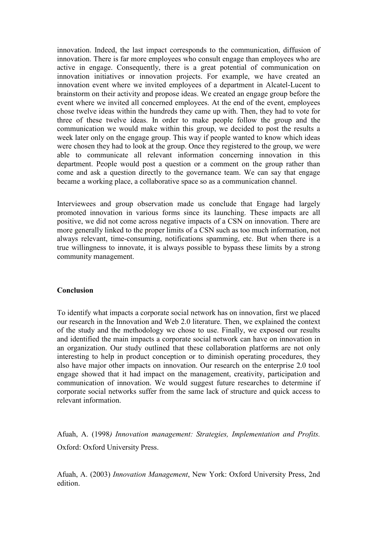innovation. Indeed, the last impact corresponds to the communication, diffusion of innovation. There is far more employees who consult engage than employees who are active in engage. Consequently, there is a great potential of communication on innovation initiatives or innovation projects. For example, we have created an innovation event where we invited employees of a department in Alcatel-Lucent to brainstorm on their activity and propose ideas. We created an engage group before the event where we invited all concerned employees. At the end of the event, employees chose twelve ideas within the hundreds they came up with. Then, they had to vote for three of these twelve ideas. In order to make people follow the group and the communication we would make within this group, we decided to post the results a week later only on the engage group. This way if people wanted to know which ideas were chosen they had to look at the group. Once they registered to the group, we were able to communicate all relevant information concerning innovation in this department. People would post a question or a comment on the group rather than come and ask a question directly to the governance team. We can say that engage became a working place, a collaborative space so as a communication channel.

Interviewees and group observation made us conclude that Engage had largely promoted innovation in various forms since its launching. These impacts are all positive, we did not come across negative impacts of a CSN on innovation. There are more generally linked to the proper limits of a CSN such as too much information, not always relevant, time-consuming, notifications spamming, etc. But when there is a true willingness to innovate, it is always possible to bypass these limits by a strong community management.

#### Conclusion

To identify what impacts a corporate social network has on innovation, first we placed our research in the Innovation and Web 2.0 literature. Then, we explained the context of the study and the methodology we chose to use. Finally, we exposed our results and identified the main impacts a corporate social network can have on innovation in an organization. Our study outlined that these collaboration platforms are not only interesting to help in product conception or to diminish operating procedures, they also have major other impacts on innovation. Our research on the enterprise 2.0 tool engage showed that it had impact on the management, creativity, participation and communication of innovation. We would suggest future researches to determine if corporate social networks suffer from the same lack of structure and quick access to relevant information.

Afuah, A. (1998) Innovation management: Strategies, Implementation and Profits. Oxford: Oxford University Press.

Afuah, A. (2003) Innovation Management, New York: Oxford University Press, 2nd edition.